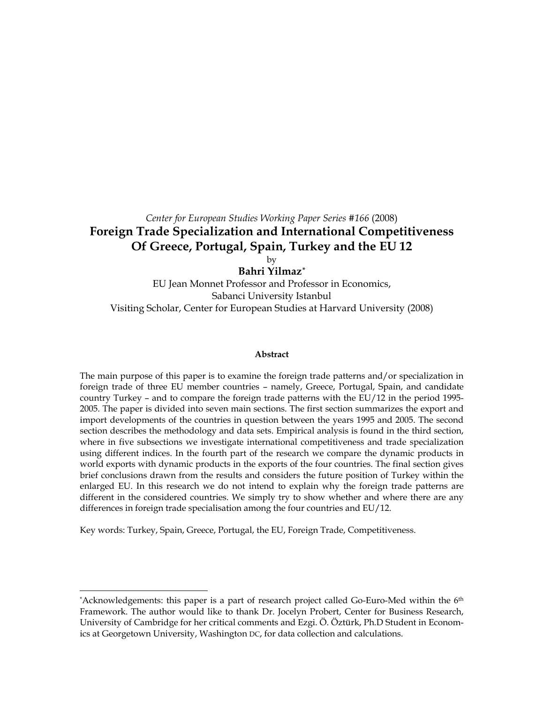# *Center for European Studies Working Paper Series #166* (2008) **Foreign Trade Specialization and International Competitiveness Of Greece, Portugal, Spain, Turkey and the EU 12**  by

**Bahri Yilmaz[\\*](#page-0-0)**

EU Jean Monnet Professor and Professor in Economics, Sabanci University Istanbul Visiting Scholar, Center for European Studies at Harvard University (2008)

#### **Abstract**

The main purpose of this paper is to examine the foreign trade patterns and/or specialization in foreign trade of three EU member countries – namely, Greece, Portugal, Spain, and candidate country Turkey – and to compare the foreign trade patterns with the EU/12 in the period 1995- 2005. The paper is divided into seven main sections. The first section summarizes the export and import developments of the countries in question between the years 1995 and 2005. The second section describes the methodology and data sets. Empirical analysis is found in the third section, where in five subsections we investigate international competitiveness and trade specialization using different indices. In the fourth part of the research we compare the dynamic products in world exports with dynamic products in the exports of the four countries. The final section gives brief conclusions drawn from the results and considers the future position of Turkey within the enlarged EU. In this research we do not intend to explain why the foreign trade patterns are different in the considered countries. We simply try to show whether and where there are any differences in foreign trade specialisation among the four countries and EU/12.

Key words: Turkey, Spain, Greece, Portugal, the EU, Foreign Trade, Competitiveness.

<span id="page-0-0"></span><sup>\*</sup>Acknowledgements: this paper is a part of research project called Go-Euro-Med within the 6<sup>th</sup> Framework. The author would like to thank Dr. Jocelyn Probert, Center for Business Research, University of Cambridge for her critical comments and Ezgi. Ö. Öztürk, Ph.D Student in Economics at Georgetown University, Washington DC, for data collection and calculations.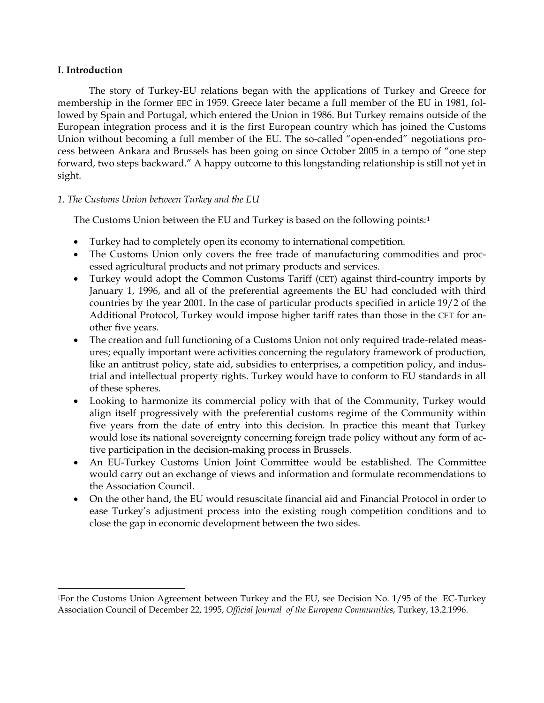# **I. Introduction**

 $\overline{a}$ 

The story of Turkey-EU relations began with the applications of Turkey and Greece for membership in the former EEC in 1959. Greece later became a full member of the EU in 1981, followed by Spain and Portugal, which entered the Union in 1986. But Turkey remains outside of the European integration process and it is the first European country which has joined the Customs Union without becoming a full member of the EU. The so-called "open-ended" negotiations process between Ankara and Brussels has been going on since October 2005 in a tempo of "one step forward, two steps backward." A happy outcome to this longstanding relationship is still not yet in sight.

# *1. The Customs Union between Turkey and the EU*

The Customs Union between the EU and Turkey is based on the following points:[1](#page-1-0)

- Turkey had to completely open its economy to international competition.
- The Customs Union only covers the free trade of manufacturing commodities and processed agricultural products and not primary products and services.
- Turkey would adopt the Common Customs Tariff (CET) against third-country imports by January 1, 1996, and all of the preferential agreements the EU had concluded with third countries by the year 2001. In the case of particular products specified in article 19/2 of the Additional Protocol, Turkey would impose higher tariff rates than those in the CET for another five years.
- The creation and full functioning of a Customs Union not only required trade-related measures; equally important were activities concerning the regulatory framework of production, like an antitrust policy, state aid, subsidies to enterprises, a competition policy, and industrial and intellectual property rights. Turkey would have to conform to EU standards in all of these spheres.
- Looking to harmonize its commercial policy with that of the Community, Turkey would align itself progressively with the preferential customs regime of the Community within five years from the date of entry into this decision. In practice this meant that Turkey would lose its national sovereignty concerning foreign trade policy without any form of active participation in the decision-making process in Brussels.
- An EU-Turkey Customs Union Joint Committee would be established. The Committee would carry out an exchange of views and information and formulate recommendations to the Association Council.
- On the other hand, the EU would resuscitate financial aid and Financial Protocol in order to ease Turkey's adjustment process into the existing rough competition conditions and to close the gap in economic development between the two sides.

<span id="page-1-0"></span><sup>1</sup>For the Customs Union Agreement between Turkey and the EU, see Decision No. 1/95 of the EC-Turkey Association Council of December 22, 1995, *Official Journal of the European Communities*, Turkey, 13.2.1996.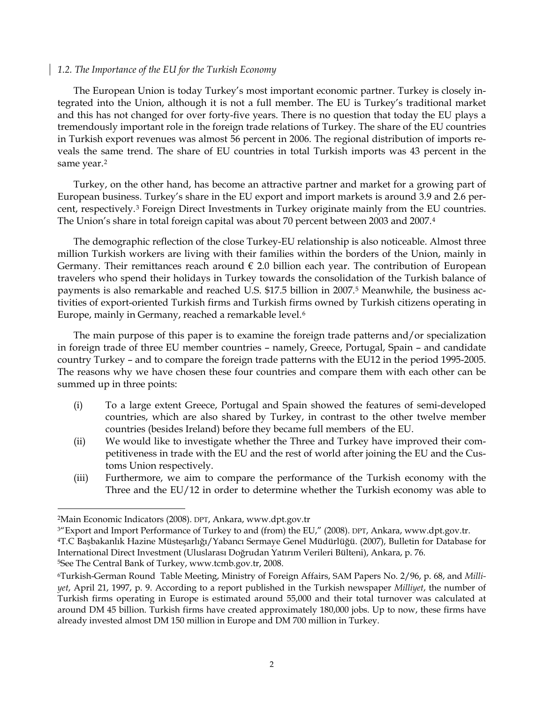## *1.2. The Importance of the EU for the Turkish Economy*

The European Union is today Turkey's most important economic partner. Turkey is closely integrated into the Union, although it is not a full member. The EU is Turkey's traditional market and this has not changed for over forty-five years. There is no question that today the EU plays a tremendously important role in the foreign trade relations of Turkey. The share of the EU countries in Turkish export revenues was almost 56 percent in 2006. The regional distribution of imports reveals the same trend. The share of EU countries in total Turkish imports was 43 percent in the same year.<sup>[2](#page-2-0)</sup>

Turkey, on the other hand, has become an attractive partner and market for a growing part of European business. Turkey's share in the EU export and import markets is around 3.9 and 2.6 percent, respectively.[3](#page-2-1) Foreign Direct Investments in Turkey originate mainly from the EU countries. The Union's share in total foreign capital was about 70 percent between 2003 and 2007.[4](#page-2-2)

The demographic reflection of the close Turkey-EU relationship is also noticeable. Almost three million Turkish workers are living with their families within the borders of the Union, mainly in Germany. Their remittances reach around  $\epsilon$  2.0 billion each year. The contribution of European travelers who spend their holidays in Turkey towards the consolidation of the Turkish balance of payments is also remarkable and reached U.S. \$17.5 billion in 2007.[5](#page-2-3) Meanwhile, the business activities of export-oriented Turkish firms and Turkish firms owned by Turkish citizens operating in Europe, mainly in Germany, reached a remarkable level.[6](#page-2-4)

The main purpose of this paper is to examine the foreign trade patterns and/or specialization in foreign trade of three EU member countries – namely, Greece, Portugal, Spain – and candidate country Turkey – and to compare the foreign trade patterns with the EU12 in the period 1995-2005. The reasons why we have chosen these four countries and compare them with each other can be summed up in three points:

- (i) To a large extent Greece, Portugal and Spain showed the features of semi-developed countries, which are also shared by Turkey, in contrast to the other twelve member countries (besides Ireland) before they became full members of the EU.
- (ii) We would like to investigate whether the Three and Turkey have improved their competitiveness in trade with the EU and the rest of world after joining the EU and the Customs Union respectively.
- (iii) Furthermore, we aim to compare the performance of the Turkish economy with the Three and the EU/12 in order to determine whether the Turkish economy was able to

<span id="page-2-3"></span>5See The Central Bank of Turkey, www.tcmb.gov.tr, 2008.

<span id="page-2-0"></span><sup>2</sup>Main Economic Indicators (2008). DPT, Ankara, www.dpt.gov.tr

<span id="page-2-1"></span><sup>3&</sup>quot;Export and Import Performance of Turkey to and (from) the EU," (2008). DPT, Ankara, www.dpt.gov.tr.

<span id="page-2-2"></span><sup>4</sup>T.C Başbakanlık Hazine Müsteşarlığı/Yabancı Sermaye Genel Müdürlüğü. (2007), Bulletin for Database for International Direct Investment (Uluslarası Doğrudan Yatırım Verileri Bülteni), Ankara, p. 76.

<span id="page-2-4"></span><sup>6</sup>Turkish-German Round Table Meeting, Ministry of Foreign Affairs, SAM Papers No. 2/96, p. 68, and *Milliyet*, April 21, 1997, p. 9. According to a report published in the Turkish newspaper *Milliyet*, the number of Turkish firms operating in Europe is estimated around 55,000 and their total turnover was calculated at around DM 45 billion. Turkish firms have created approximately 180,000 jobs. Up to now, these firms have already invested almost DM 150 million in Europe and DM 700 million in Turkey.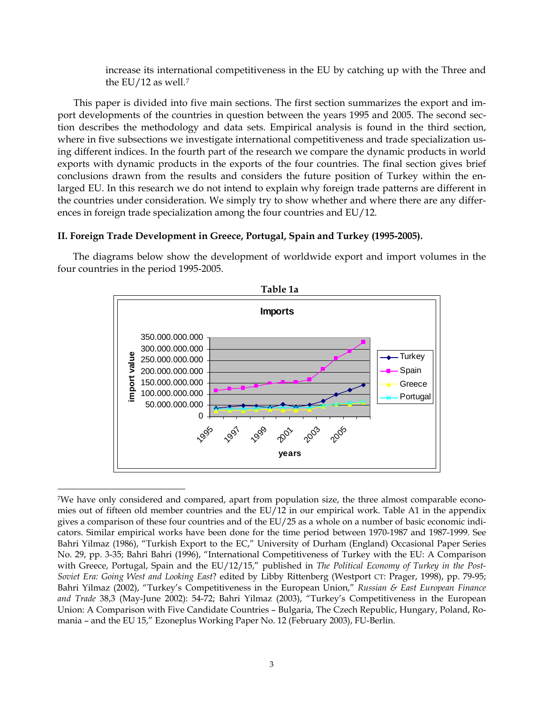increase its international competitiveness in the EU by catching up with the Three and the EU/12 as well.[7](#page-3-0)

This paper is divided into five main sections. The first section summarizes the export and import developments of the countries in question between the years 1995 and 2005. The second section describes the methodology and data sets. Empirical analysis is found in the third section, where in five subsections we investigate international competitiveness and trade specialization using different indices. In the fourth part of the research we compare the dynamic products in world exports with dynamic products in the exports of the four countries. The final section gives brief conclusions drawn from the results and considers the future position of Turkey within the enlarged EU. In this research we do not intend to explain why foreign trade patterns are different in the countries under consideration. We simply try to show whether and where there are any differences in foreign trade specialization among the four countries and EU/12.

## **II. Foreign Trade Development in Greece, Portugal, Spain and Turkey (1995-2005).**

The diagrams below show the development of worldwide export and import volumes in the four countries in the period 1995-2005.





<span id="page-3-0"></span><sup>7</sup>We have only considered and compared, apart from population size, the three almost comparable economies out of fifteen old member countries and the EU/12 in our empirical work. Table A1 in the appendix gives a comparison of these four countries and of the EU/25 as a whole on a number of basic economic indicators. Similar empirical works have been done for the time period between 1970-1987 and 1987-1999. See Bahri Yilmaz (1986), "Turkish Export to the EC," University of Durham (England) Occasional Paper Series No. 29, pp. 3-35; Bahri Bahri (1996), "International Competitiveness of Turkey with the EU: A Comparison with Greece, Portugal, Spain and the EU/12/15," published in *The Political Economy of Turkey in the Post-Soviet Era: Going West and Looking East*? edited by Libby Rittenberg (Westport CT: Prager, 1998), pp. 79-95; Bahri Yilmaz (2002), "Turkey's Competitiveness in the European Union," *Russian & East European Finance and Trade* 38,3 (May-June 2002): 54-72; Bahri Yilmaz (2003), "Turkey's Competitiveness in the European Union: A Comparison with Five Candidate Countries – Bulgaria, The Czech Republic, Hungary, Poland, Romania – and the EU 15," Ezoneplus Working Paper No. 12 (February 2003), FU-Berlin.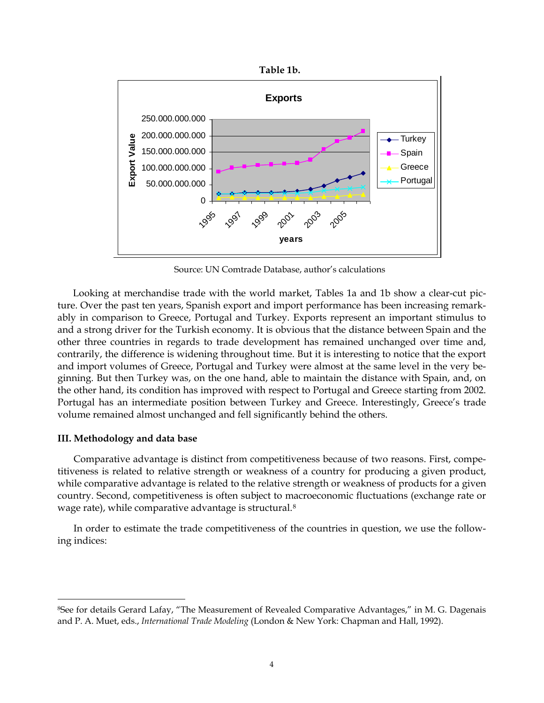

Source: UN Comtrade Database, author's calculations

Looking at merchandise trade with the world market, Tables 1a and 1b show a clear-cut picture. Over the past ten years, Spanish export and import performance has been increasing remarkably in comparison to Greece, Portugal and Turkey. Exports represent an important stimulus to and a strong driver for the Turkish economy. It is obvious that the distance between Spain and the other three countries in regards to trade development has remained unchanged over time and, contrarily, the difference is widening throughout time. But it is interesting to notice that the export and import volumes of Greece, Portugal and Turkey were almost at the same level in the very beginning. But then Turkey was, on the one hand, able to maintain the distance with Spain, and, on the other hand, its [condition](http://dict.leo.org/ende?lp=ende&p=eL4jU.&search=condition) [has](http://dict.leo.org/ende?lp=ende&p=eL4jU.&search=has) improved with respect to Portugal and Greece starting from 2002. Portugal has an intermediate position between Turkey and Greece. Interestingly, Greece's trade volume remained almost unchanged and fell significantly behind the others.

### **III. Methodology and data base**

 $\overline{a}$ 

Comparative advantage is distinct from competitiveness because of two reasons. First, competitiveness is related to relative strength or weakness of a country for producing a given product, while comparative advantage is related to the relative strength or weakness of products for a given country. Second, competitiveness is often subject to macroeconomic fluctuations (exchange rate or wage rate), while comparative advantage is structural.[8](#page-4-0)

In order to estimate the trade competitiveness of the countries in question, we use the following indices:

<span id="page-4-0"></span><sup>8</sup>See for details Gerard Lafay, "The Measurement of Revealed Comparative Advantages," in M. G. Dagenais and P. A. Muet, eds., *International Trade Modeling* (London & New York: Chapman and Hall, 1992).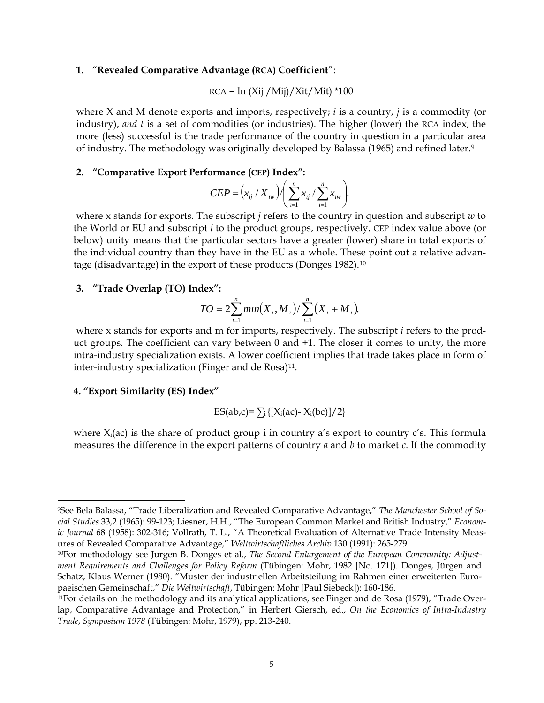#### **1.** "**Revealed Comparative Advantage (RCA) Coefficient**":

$$
RCA = \ln (Xij / Mij) / Xit / Mit) * 100
$$

where X and M denote exports and imports, respectively; *i* is a country, *j* is a commodity (or industry), *and t* is a set of commodities (or industries). The higher (lower) the RCA index, the more (less) successful is the trade performance of the country in question in a particular area of industry. The methodology was originally developed by Balassa (1965) and refined later.[9](#page-5-0)

## **2. "Comparative Export Performance (CEP) Index":**

$$
CEP = (x_{ij} / X_{iw}) / \left(\sum_{i=1}^{n} x_{ij} / \sum_{i=1}^{n} x_{iw}\right).
$$

 where x stands for exports. The subscript *j* refers to the country in question and subscript *w* to the World or EU and subscript *i* to the product groups, respectively. CEP index value above (or below) unity means that the particular sectors have a greater (lower) share in total exports of the individual country than they have in the EU as a whole. These point out a relative advantage (disadvantage) in the export of these products (Donges 1982).[10](#page-5-1) 

#### **3. "Trade Overlap (TO) Index":**

$$
TO = 2\sum_{i=1}^{n} min(X_i, M_i)/\sum_{i=1}^{n} (X_i + M_i).
$$

 where x stands for exports and m for imports, respectively. The subscript *i* refers to the product groups. The coefficient can vary between 0 and +1. The closer it comes to unity, the more intra-industry specialization exists. A lower coefficient implies that trade takes place in form of inter-industry specialization (Finger and de Rosa)<sup>11</sup>.

#### **4. "Export Similarity (ES) Index"**

$$
ES(ab,c) = \sum_i \{ [X_i(ac) - X_i(bc)]/2 \}
$$

where  $X_i(ac)$  is the share of product group i in country a's export to country c's. This formula measures the difference in the export patterns of country *a* and *b* to market *c*. If the commodity

<span id="page-5-0"></span><sup>9</sup>See Bela Balassa, "Trade Liberalization and Revealed Comparative Advantage," *The Manchester School of Social Studies* 33,2 (1965): 99-123; Liesner, H.H., "The European Common Market and British Industry," *Economic Journal* 68 (1958): 302-316; Vollrath, T. L., "A Theoretical Evaluation of Alternative Trade Intensity Measures of Revealed Comparative Advantage," *Weltwirtschaftliches Archiv* 130 (1991): 265-279.

<span id="page-5-1"></span><sup>10</sup>For methodology see Jurgen B. Donges et al., *The Second Enlargement of the European Community: Adjustment Requirements and Challenges for Policy Reform* (Tübingen: Mohr, 1982 [No. 171]). Donges, Jürgen and Schatz, Klaus Werner (1980). "Muster der industriellen Arbeitsteilung im Rahmen einer erweiterten Europaeischen Gemeinschaft," *Die Weltwirtschaft*, Tübingen: Mohr [Paul Siebeck]): 160-186.

<span id="page-5-2"></span><sup>11</sup>For details on the methodology and its analytical applications, see Finger and de Rosa (1979), "Trade Overlap, Comparative Advantage and Protection," in Herbert Giersch, ed., *On the Economics of Intra-Industry Trade*, *Symposium 1978* (Tübingen: Mohr, 1979), pp. 213-240.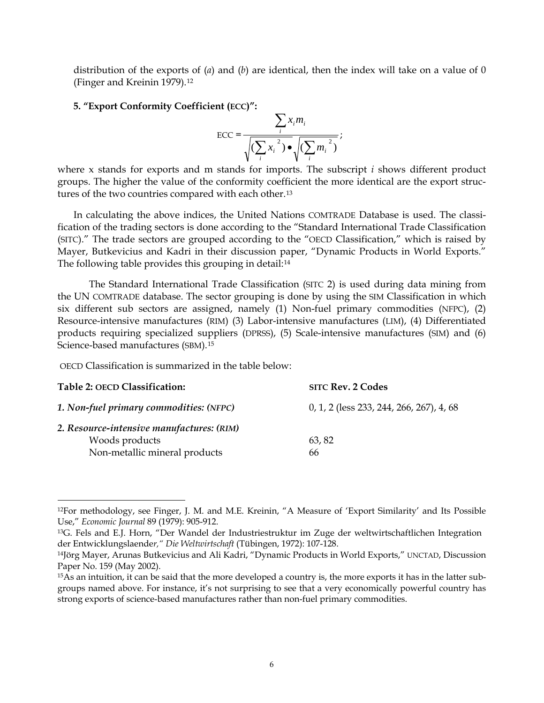distribution of the exports of (*a*) and (*b*) are identical, then the index will take on a value of 0 (Finger and Kreinin 1979).[12](#page-6-0)

#### **5. "Export Conformity Coefficient (ECC)":**

$$
\text{ECC} = \frac{\sum_{i} x_{i} m_{i}}{\sqrt{\left(\sum_{i} x_{i}^{2}\right) \bullet} \sqrt{\left(\sum_{i} m_{i}^{2}\right)}};
$$

where x stands for exports and m stands for imports. The subscript *i* shows different product groups. The higher the value of the conformity coefficient the more identical are the export structures of the two countries compared with each other.[13](#page-6-1)

In calculating the above indices, the United Nations COMTRADE Database is used. The classification of the trading sectors is done according to the "Standard International Trade Classification (SITC)." The trade sectors are grouped according to the "OECD Classification," which is raised by Mayer, Butkevicius and Kadri in their discussion paper, "Dynamic Products in World Exports." The following table provides this grouping in detail:<sup>[14](#page-6-2)</sup>

 The Standard International Trade Classification (SITC 2) is used during data mining from the UN COMTRADE database. The sector grouping is done by using the SIM Classification in which six different sub sectors are assigned, namely (1) Non-fuel primary commodities (NFPC), (2) Resource-intensive manufactures (RIM) (3) Labor-intensive manufactures (LIM), (4) Differentiated products requiring specialized suppliers (DPRSS), (5) Scale-intensive manufactures (SIM) and (6) Science-based manufactures (SBM).[15](#page-6-3)

OECD Classification is summarized in the table below:

| Table 2: OECD Classification:             | <b>SITC Rev. 2 Codes</b>                 |
|-------------------------------------------|------------------------------------------|
| 1. Non-fuel primary commodities: (NFPC)   | 0, 1, 2 (less 233, 244, 266, 267), 4, 68 |
| 2. Resource-intensive manufactures: (RIM) |                                          |
| Woods products                            | 63,82                                    |
| Non-metallic mineral products             | 66                                       |

<span id="page-6-0"></span><sup>12</sup>For methodology, see Finger, J. M. and M.E. Kreinin, "A Measure of 'Export Similarity' and Its Possible Use," *Economic Journal* 89 (1979): 905-912.

<span id="page-6-1"></span><sup>13</sup>G. Fels and E.J. Horn, "Der Wandel der Industriestruktur im Zuge der weltwirtschaftlichen Integration der Entwicklungslaende*r," Die Weltwirtschaft* (Tübingen, 1972): 107-128.

<span id="page-6-2"></span><sup>14</sup>Jörg Mayer, Arunas Butkevicius and Ali Kadri, "Dynamic Products in World Exports," UNCTAD, Discussion Paper No. 159 (May 2002).

<span id="page-6-3"></span><sup>15</sup>As an intuition, it can be said that the more developed a country is, the more exports it has in the latter subgroups named above. For instance, it's not surprising to see that a very economically powerful country has strong exports of science-based manufactures rather than non-fuel primary commodities.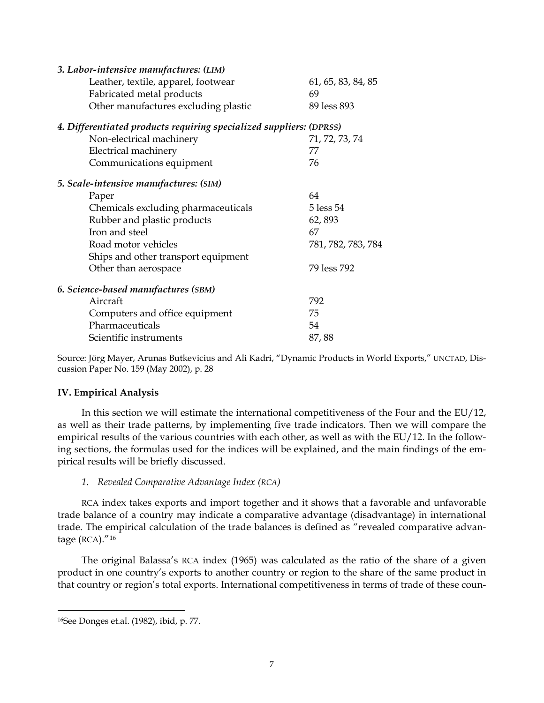| 3. Labor-intensive manufactures: (LIM)                              |                    |
|---------------------------------------------------------------------|--------------------|
| Leather, textile, apparel, footwear                                 | 61, 65, 83, 84, 85 |
| Fabricated metal products                                           | 69                 |
| Other manufactures excluding plastic                                | 89 less 893        |
| 4. Differentiated products requiring specialized suppliers: (DPRSS) |                    |
| Non-electrical machinery                                            | 71, 72, 73, 74     |
| Electrical machinery                                                | 77                 |
| Communications equipment                                            | 76                 |
| 5. Scale-intensive manufactures: (SIM)                              |                    |
| Paper                                                               | 64                 |
| Chemicals excluding pharmaceuticals                                 | 5 less 54          |
| Rubber and plastic products                                         | 62,893             |
| Iron and steel                                                      | 67                 |
| Road motor vehicles                                                 | 781, 782, 783, 784 |
| Ships and other transport equipment                                 |                    |
| Other than aerospace                                                | 79 less 792        |
| 6. Science-based manufactures (SBM)                                 |                    |
| Aircraft                                                            | 792                |
| Computers and office equipment                                      | 75                 |
| Pharmaceuticals                                                     | 54                 |
| Scientific instruments                                              | 87,88              |

Source: Jörg Mayer, Arunas Butkevicius and Ali Kadri, "Dynamic Products in World Exports," UNCTAD, Discussion Paper No. 159 (May 2002), p. 28

# **IV. Empirical Analysis**

In this section we will estimate the international competitiveness of the Four and the EU/12, as well as their trade patterns, by implementing five trade indicators. Then we will compare the empirical results of the various countries with each other, as well as with the EU/12. In the following sections, the formulas used for the indices will be explained, and the main findings of the empirical results will be briefly discussed.

# *1. Revealed Comparative Advantage Index (RCA)*

RCA index takes exports and import together and it shows that a favorable and unfavorable trade balance of a country may indicate a comparative advantage (disadvantage) in international trade. The empirical calculation of the trade balances is defined as "revealed comparative advantage (RCA).["16](#page-7-0)

The original Balassa's RCA index (1965) was calculated as the ratio of the share of a given product in one country's exports to another country or region to the share of the same product in that country or region's total exports. International competitiveness in terms of trade of these coun-

<span id="page-7-0"></span><sup>16</sup>See Donges et.al. (1982), ibid, p. 77.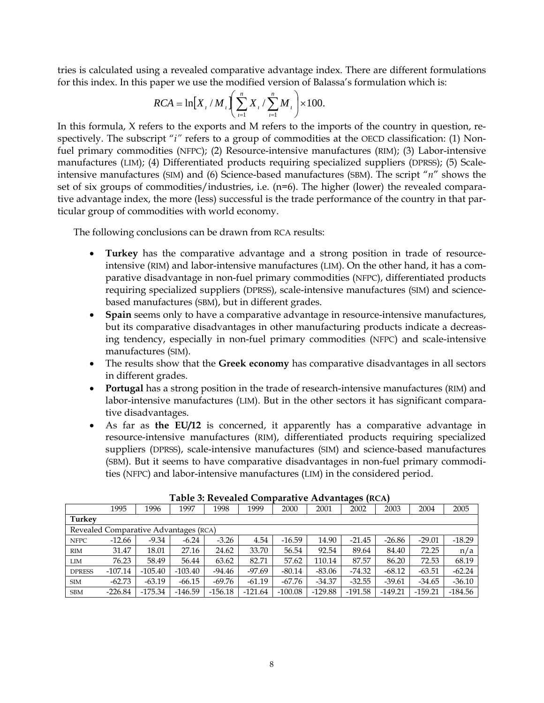tries is calculated using a revealed comparative advantage index. There are different formulations for this index. In this paper we use the modified version of Balassa's formulation which is:

$$
RCA = \ln[X_{i} / M_{i}] \left( \sum_{i=1}^{n} X_{i} / \sum_{i=1}^{n} M_{i} \right) \times 100.
$$

In this formula, X refers to the exports and M refers to the imports of the country in question, respectively. The subscript "*i*" refers to a group of commodities at the OECD classification: (1) Nonfuel primary commodities (NFPC); (2) Resource-intensive manufactures (RIM); (3) Labor-intensive manufactures (LIM); (4) Differentiated products requiring specialized suppliers (DPRSS); (5) Scaleintensive manufactures (SIM) and (6) Science-based manufactures (SBM). The script "*n*" shows the set of six groups of commodities/industries, i.e. (n=6). The higher (lower) the revealed comparative advantage index, the more (less) successful is the trade performance of the country in that particular group of commodities with world economy.

The following conclusions can be drawn from RCA results:

- **Turkey** has the comparative advantage and a strong position in trade of resourceintensive (RIM) and labor-intensive manufactures (LIM). On the other hand, it has a comparative disadvantage in non-fuel primary commodities (NFPC), differentiated products requiring specialized suppliers (DPRSS), scale-intensive manufactures (SIM) and sciencebased manufactures (SBM), but in different grades.
- **Spain** seems only to have a comparative advantage in resource-intensive manufactures, but its comparative disadvantages in other manufacturing products indicate a decreasing tendency, especially in non-fuel primary commodities (NFPC) and scale-intensive manufactures (SIM).
- The results show that the **Greek economy** has comparative disadvantages in all sectors in different grades.
- **Portugal** has a strong position in the trade of research-intensive manufactures (RIM) and labor-intensive manufactures (LIM). But in the other sectors it has significant comparative disadvantages.
- As far as **the EU/12** is concerned, it apparently has a comparative advantage in resource-intensive manufactures (RIM), differentiated products requiring specialized suppliers (DPRSS), scale-intensive manufactures (SIM) and science-based manufactures (SBM). But it seems to have comparative disadvantages in non-fuel primary commodities (NFPC) and labor-intensive manufactures (LIM) in the considered period.

|                                       |           |           |           |           |           |           |           | o         |           |           |           |  |
|---------------------------------------|-----------|-----------|-----------|-----------|-----------|-----------|-----------|-----------|-----------|-----------|-----------|--|
|                                       | 1995      | 1996      | 1997      | 1998      | 1999      | 2000      | 2001      | 2002      | 2003      | 2004      | 2005      |  |
| Turkey                                |           |           |           |           |           |           |           |           |           |           |           |  |
| Revealed Comparative Advantages (RCA) |           |           |           |           |           |           |           |           |           |           |           |  |
| <b>NFPC</b>                           | $-12.66$  | $-9.34$   | $-6.24$   | $-3.26$   | 4.54      | $-16.59$  | 14.90     | $-21.45$  | $-26.86$  | $-29.01$  | $-18.29$  |  |
| <b>RIM</b>                            | 31.47     | 18.01     | 27.16     | 24.62     | 33.70     | 56.54     | 92.54     | 89.64     | 84.40     | 72.25     | n/a       |  |
| <b>LIM</b>                            | 76.23     | 58.49     | 56.44     | 63.62     | 82.71     | 57.62     | 110.14    | 87.57     | 86.20     | 72.53     | 68.19     |  |
| <b>DPRESS</b>                         | $-107.14$ | $-105.40$ | $-103.40$ | $-94.46$  | $-97.69$  | $-80.14$  | $-83.06$  | $-74.32$  | $-68.12$  | $-63.51$  | $-62.24$  |  |
| <b>SIM</b>                            | $-62.73$  | $-63.19$  | $-66.15$  | $-69.76$  | $-61.19$  | $-67.76$  | $-34.37$  | $-32.55$  | $-39.61$  | $-34.65$  | $-36.10$  |  |
| <b>SBM</b>                            | $-226.84$ | $-175.34$ | $-146.59$ | $-156.18$ | $-121.64$ | $-100.08$ | $-129.88$ | $-191.58$ | $-149.21$ | $-159.21$ | $-184.56$ |  |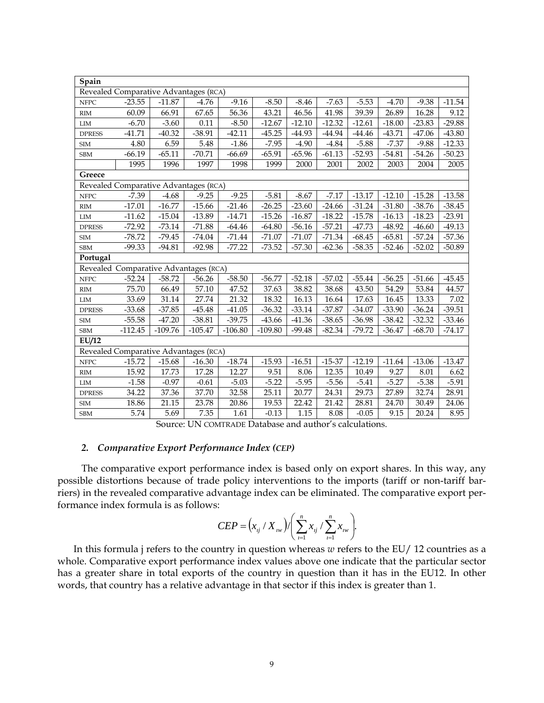| Spain                                 |                                       |           |           |           |           |          |          |          |          |          |          |  |
|---------------------------------------|---------------------------------------|-----------|-----------|-----------|-----------|----------|----------|----------|----------|----------|----------|--|
|                                       | Revealed Comparative Advantages (RCA) |           |           |           |           |          |          |          |          |          |          |  |
| <b>NFPC</b>                           | $-23.55$                              | $-11.87$  | $-4.76$   | $-9.16$   | $-8.50$   | $-8.46$  | $-7.63$  | $-5.53$  | $-4.70$  | $-9.38$  | $-11.54$ |  |
| $\mathop{\rm RIM}\nolimits$           | 60.09                                 | 66.91     | 67.65     | 56.36     | 43.21     | 46.56    | 41.98    | 39.39    | 26.89    | 16.28    | 9.12     |  |
| $\text{LIM}{}$                        | $-6.70$                               | $-3.60$   | 0.11      | $-8.50$   | $-12.67$  | $-12.10$ | $-12.32$ | $-12.61$ | $-18.00$ | $-23.83$ | $-29.88$ |  |
| <b>DPRESS</b>                         | $-41.71$                              | $-40.32$  | $-38.91$  | $-42.11$  | $-45.25$  | $-44.93$ | $-44.94$ | $-44.46$ | $-43.71$ | $-47.06$ | $-43.80$ |  |
| <b>SIM</b>                            | 4.80                                  | 6.59      | 5.48      | $-1.86$   | $-7.95$   | $-4.90$  | $-4.84$  | $-5.88$  | $-7.37$  | $-9.88$  | $-12.33$ |  |
| SBM                                   | $-66.19$                              | $-65.11$  | $-70.71$  | $-66.69$  | $-65.91$  | $-65.96$ | $-61.13$ | $-52.93$ | $-54.81$ | $-54.26$ | $-50.23$ |  |
|                                       | 1995                                  | 1996      | 1997      | 1998      | 1999      | 2000     | 2001     | 2002     | 2003     | 2004     | 2005     |  |
| Greece                                |                                       |           |           |           |           |          |          |          |          |          |          |  |
| Revealed Comparative Advantages (RCA) |                                       |           |           |           |           |          |          |          |          |          |          |  |
| <b>NFPC</b>                           | $-7.39$                               | $-4.68$   | $-9.25$   | $-9.25$   | $-5.81$   | $-8.67$  | $-7.17$  | $-13.17$ | $-12.10$ | $-15.28$ | $-13.58$ |  |
| $\mathbf{R}\mathbf{I}\mathbf{M}$      | $-17.01$                              | $-16.77$  | $-15.66$  | $-21.46$  | $-26.25$  | $-23.60$ | $-24.66$ | $-31.24$ | $-31.80$ | $-38.76$ | $-38.45$ |  |
| ${\rm LIM}$                           | $-11.62$                              | $-15.04$  | $-13.89$  | $-14.71$  | $-15.26$  | $-16.87$ | $-18.22$ | $-15.78$ | $-16.13$ | $-18.23$ | $-23.91$ |  |
| <b>DPRESS</b>                         | $-72.92$                              | $-73.14$  | $-71.88$  | $-64.46$  | $-64.80$  | $-56.16$ | $-57.21$ | $-47.73$ | $-48.92$ | $-46.60$ | $-49.13$ |  |
| $\ensuremath{\mathrm{SIM}}$           | $-78.72$                              | $-79.45$  | $-74.04$  | $-71.44$  | $-71.07$  | $-71.07$ | $-71.34$ | $-68.45$ | $-65.81$ | $-57.24$ | $-57.36$ |  |
| SBM                                   | $-99.33$                              | $-94.81$  | $-92.98$  | $-77.22$  | $-73.52$  | $-57.30$ | $-62.36$ | $-58.35$ | $-52.46$ | $-52.02$ | $-50.89$ |  |
| Portugal                              |                                       |           |           |           |           |          |          |          |          |          |          |  |
|                                       | Revealed Comparative Advantages (RCA) |           |           |           |           |          |          |          |          |          |          |  |
| <b>NFPC</b>                           | $-52.24$                              | $-58.72$  | $-56.26$  | $-58.50$  | $-56.77$  | $-52.18$ | $-57.02$ | $-55.44$ | $-56.25$ | $-51.66$ | $-45.45$ |  |
| $\mathbf{R}\mathbf{I}\mathbf{M}$      | 75.70                                 | 66.49     | 57.10     | 47.52     | 37.63     | 38.82    | 38.68    | 43.50    | 54.29    | 53.84    | 44.57    |  |
| ${\rm LIM}$                           | 33.69                                 | 31.14     | 27.74     | 21.32     | 18.32     | 16.13    | 16.64    | 17.63    | 16.45    | 13.33    | 7.02     |  |
| <b>DPRESS</b>                         | $-33.68$                              | $-37.85$  | $-45.48$  | $-41.05$  | $-36.32$  | $-33.14$ | $-37.87$ | $-34.07$ | $-33.90$ | $-36.24$ | $-39.51$ |  |
| <b>SIM</b>                            | $-55.58$                              | $-47.20$  | $-38.81$  | $-39.75$  | $-43.66$  | $-41.36$ | $-38.65$ | $-36.98$ | $-38.42$ | $-32.32$ | $-33.46$ |  |
| SBM                                   | $-112.45$                             | $-109.76$ | $-105.47$ | $-106.80$ | $-109.80$ | $-99.48$ | $-82.34$ | $-79.72$ | $-36.47$ | $-68.70$ | $-74.17$ |  |
| EU/12                                 |                                       |           |           |           |           |          |          |          |          |          |          |  |
|                                       | Revealed Comparative Advantages (RCA) |           |           |           |           |          |          |          |          |          |          |  |
| <b>NFPC</b>                           | $-15.72$                              | $-15.68$  | $-16.30$  | $-18.74$  | $-15.93$  | $-16.51$ | $-15-37$ | $-12.19$ | $-11.64$ | $-13.06$ | $-13.47$ |  |
| $\mathbf{R}\mathbf{I}\mathbf{M}$      | 15.92                                 | 17.73     | 17.28     | 12.27     | 9.51      | 8.06     | 12.35    | 10.49    | 9.27     | 8.01     | 6.62     |  |
| $\text{LIM}{}$                        | $-1.58$                               | $-0.97$   | $-0.61$   | $-5.03$   | $-5.22$   | $-5.95$  | $-5.56$  | $-5.41$  | $-5.27$  | $-5.38$  | $-5.91$  |  |
| <b>DPRESS</b>                         | 34.22                                 | 37.36     | 37.70     | 32.58     | 25.11     | 20.77    | 24.31    | 29.73    | 27.89    | 32.74    | 28.91    |  |
| <b>SIM</b>                            | 18.86                                 | 21.15     | 23.78     | 20.86     | 19.53     | 22.42    | 21.42    | 28.81    | 24.70    | 30.49    | 24.06    |  |
| SBM                                   | 5.74                                  | 5.69      | 7.35      | 1.61      | $-0.13$   | 1.15     | 8.08     | $-0.05$  | 9.15     | 20.24    | 8.95     |  |

Source: UN COMTRADE Database and author's calculations.

### *2. Comparative Export Performance Index (CEP)*

The comparative export performance index is based only on export shares. In this way, any possible distortions because of trade policy interventions to the imports (tariff or non-tariff barriers) in the revealed comparative advantage index can be eliminated. The comparative export performance index formula is as follows:

$$
CEP = (x_{ij} / X_{iw}) / \left(\sum_{i=1}^{n} x_{ij} / \sum_{i=1}^{n} x_{iw}\right).
$$

In this formula j refers to the country in question whereas *w* refers to the EU/ 12 countries as a whole. Comparative export performance index values above one indicate that the particular sector has a greater share in total exports of the country in question than it has in the EU12. In other words, that country has a relative advantage in that sector if this index is greater than 1.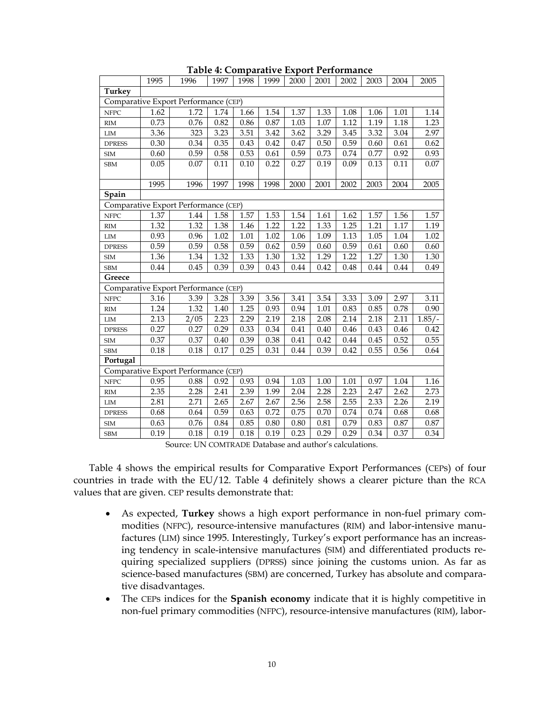|                | 1995     | 1996                                 | 1997 | 1998     | 1999 | 2000 | 2001 | 2002 | 2003 | 2004 | 2005     |
|----------------|----------|--------------------------------------|------|----------|------|------|------|------|------|------|----------|
| Turkey         |          |                                      |      |          |      |      |      |      |      |      |          |
|                |          | Comparative Export Performance (CEP) |      |          |      |      |      |      |      |      |          |
| <b>NFPC</b>    | 1.62     | 1.72                                 | 1.74 | 1.66     | 1.54 | 1.37 | 1.33 | 1.08 | 1.06 | 1.01 | 1.14     |
| <b>RIM</b>     | 0.73     | 0.76                                 | 0.82 | 0.86     | 0.87 | 1.03 | 1.07 | 1.12 | 1.19 | 1.18 | 1.23     |
| $\text{LIM}{}$ | 3.36     | 323                                  | 3.23 | 3.51     | 3.42 | 3.62 | 3.29 | 3.45 | 3.32 | 3.04 | 2.97     |
| <b>DPRESS</b>  | 0.30     | 0.34                                 | 0.35 | 0.43     | 0.42 | 0.47 | 0.50 | 0.59 | 0.60 | 0.61 | 0.62     |
| <b>SIM</b>     | 0.60     | 0.59                                 | 0.58 | 0.53     | 0.61 | 0.59 | 0.73 | 0.74 | 0.77 | 0.92 | 0.93     |
| <b>SBM</b>     | 0.05     | 0.07                                 | 0.11 | 0.10     | 0.22 | 0.27 | 0.19 | 0.09 | 0.13 | 0.11 | 0.07     |
|                | 1995     | 1996                                 | 1997 | 1998     | 1998 | 2000 | 2001 | 2002 | 2003 | 2004 | 2005     |
| Spain          |          |                                      |      |          |      |      |      |      |      |      |          |
|                |          | Comparative Export Performance (CEP) |      |          |      |      |      |      |      |      |          |
| <b>NFPC</b>    | 1.37     | 1.44                                 | 1.58 | 1.57     | 1.53 | 1.54 | 1.61 | 1.62 | 1.57 | 1.56 | 1.57     |
| RIM            | 1.32     | 1.32                                 | 1.38 | 1.46     | 1.22 | 1.22 | 1.33 | 1.25 | 1.21 | 1.17 | 1.19     |
| ${\rm LIM}$    | 0.93     | 0.96                                 | 1.02 | 1.01     | 1.02 | 1.06 | 1.09 | 1.13 | 1.05 | 1.04 | 1.02     |
| <b>DPRESS</b>  | 0.59     | 0.59                                 | 0.58 | 0.59     | 0.62 | 0.59 | 0.60 | 0.59 | 0.61 | 0.60 | 0.60     |
| ${\rm SIM}$    | 1.36     | 1.34                                 | 1.32 | 1.33     | 1.30 | 1.32 | 1.29 | 1.22 | 1.27 | 1.30 | 1.30     |
| <b>SBM</b>     | 0.44     | 0.45                                 | 0.39 | 0.39     | 0.43 | 0.44 | 0.42 | 0.48 | 0.44 | 0.44 | 0.49     |
| Greece         |          |                                      |      |          |      |      |      |      |      |      |          |
|                |          | Comparative Export Performance (CEP) |      |          |      |      |      |      |      |      |          |
| <b>NFPC</b>    | 3.16     | 3.39                                 | 3.28 | 3.39     | 3.56 | 3.41 | 3.54 | 3.33 | 3.09 | 2.97 | 3.11     |
| RIM            | 1.24     | 1.32                                 | 1.40 | 1.25     | 0.93 | 0.94 | 1.01 | 0.83 | 0.85 | 0.78 | 0.90     |
| ${\rm LIM}$    | 2.13     | 2/05                                 | 2.23 | 2.29     | 2.19 | 2.18 | 2.08 | 2.14 | 2.18 | 2.11 | $1.85/-$ |
| <b>DPRESS</b>  | 0.27     | 0.27                                 | 0.29 | 0.33     | 0.34 | 0.41 | 0.40 | 0.46 | 0.43 | 0.46 | 0.42     |
| <b>SIM</b>     | 0.37     | 0.37                                 | 0.40 | 0.39     | 0.38 | 0.41 | 0.42 | 0.44 | 0.45 | 0.52 | 0.55     |
| <b>SBM</b>     | $0.18\,$ | 0.18                                 | 0.17 | 0.25     | 0.31 | 0.44 | 0.39 | 0.42 | 0.55 | 0.56 | 0.64     |
| Portugal       |          |                                      |      |          |      |      |      |      |      |      |          |
|                |          | Comparative Export Performance (CEP) |      |          |      |      |      |      |      |      |          |
| <b>NFPC</b>    | 0.95     | 0.88                                 | 0.92 | 0.93     | 0.94 | 1.03 | 1.00 | 1.01 | 0.97 | 1.04 | 1.16     |
| <b>RIM</b>     | 2.35     | 2.28                                 | 2.41 | 2.39     | 1.99 | 2.04 | 2.28 | 2.23 | 2.47 | 2.62 | 2.73     |
| $\text{LIM}{}$ | 2.81     | 2.71                                 | 2.65 | 2.67     | 2.67 | 2.56 | 2.58 | 2.55 | 2.33 | 2.26 | 2.19     |
| <b>DPRESS</b>  | 0.68     | 0.64                                 | 0.59 | 0.63     | 0.72 | 0.75 | 0.70 | 0.74 | 0.74 | 0.68 | 0.68     |
| <b>SIM</b>     | 0.63     | 0.76                                 | 0.84 | 0.85     | 0.80 | 0.80 | 0.81 | 0.79 | 0.83 | 0.87 | 0.87     |
| <b>SBM</b>     | 0.19     | $0.18\,$                             | 0.19 | $0.18\,$ | 0.19 | 0.23 | 0.29 | 0.29 | 0.34 | 0.37 | 0.34     |

**Table 4: Comparative Export Performance** 

Source: UN COMTRADE Database and author's calculations.

Table 4 shows the empirical results for Comparative Export Performances (CEPs) of four countries in trade with the EU/12. Table 4 definitely shows a clearer picture than the RCA values that are given. CEP results demonstrate that:

- As expected, **Turkey** shows a high export performance in non-fuel primary commodities (NFPC), resource-intensive manufactures (RIM) and labor-intensive manufactures (LIM) since 1995. Interestingly, Turkey's export performance has an increasing tendency in scale-intensive manufactures (SIM) and differentiated products requiring specialized suppliers (DPRSS) since joining the customs union. As far as science-based manufactures (SBM) are concerned, Turkey has absolute and comparative disadvantages.
- The CEPs indices for the **Spanish economy** indicate that it is highly competitive in non-fuel primary commodities (NFPC), resource-intensive manufactures (RIM), labor-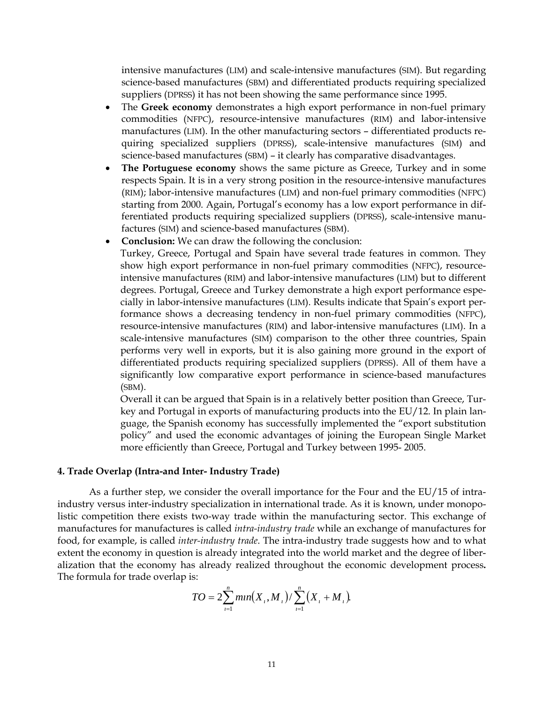intensive manufactures (LIM) and scale-intensive manufactures (SIM). But regarding science-based manufactures (SBM) and differentiated products requiring specialized suppliers (DPRSS) it has not been showing the same performance since 1995.

- The **Greek economy** demonstrates a high export performance in non-fuel primary commodities (NFPC), resource-intensive manufactures (RIM) and labor-intensive manufactures (LIM). In the other manufacturing sectors – differentiated products requiring specialized suppliers (DPRSS), scale-intensive manufactures (SIM) and science-based manufactures (SBM) – it clearly has comparative disadvantages.
- **The Portuguese economy** shows the same picture as Greece, Turkey and in some respects Spain. It is in a very strong position in the resource-intensive manufactures (RIM); labor-intensive manufactures (LIM) and non-fuel primary commodities (NFPC) starting from 2000. Again, Portugal's economy has a low export performance in differentiated products requiring specialized suppliers (DPRSS), scale-intensive manufactures (SIM) and science-based manufactures (SBM).
- **Conclusion:** We can draw the following the conclusion:

Turkey, Greece, Portugal and Spain have several trade features in common. They show high export performance in non-fuel primary commodities (NFPC), resourceintensive manufactures (RIM) and labor-intensive manufactures (LIM) but to different degrees. Portugal, Greece and Turkey demonstrate a high export performance especially in labor-intensive manufactures (LIM). Results indicate that Spain's export performance shows a decreasing tendency in non-fuel primary commodities (NFPC), resource-intensive manufactures (RIM) and labor-intensive manufactures (LIM). In a scale-intensive manufactures (SIM) comparison to the other three countries, Spain performs very well in exports, but it is also gaining more ground in the export of differentiated products requiring specialized suppliers (DPRSS). All of them have a significantly low comparative export performance in science-based manufactures (SBM).

Overall it can be argued that Spain is in a relatively better position than Greece, Turkey and Portugal in exports of manufacturing products into the EU/12. In plain language, the Spanish economy has successfully implemented the "export substitution policy" and used the economic advantages of joining the European Single Market more efficiently than Greece, Portugal and Turkey between 1995- 2005.

#### **4. Trade Overlap (Intra-and Inter- Industry Trade)**

As a further step, we consider the overall importance for the Four and the EU/15 of intraindustry versus inter-industry specialization in international trade. As it is known, under monopolistic competition there exists two-way trade within the manufacturing sector. This exchange of manufactures for manufactures is called *intra-industry trade* while an exchange of manufactures for food, for example, is called *inter-industry trade*. The intra-industry trade suggests how and to what extent the economy in question is already integrated into the world market and the degree of liberalization that the economy has already realized throughout the economic development process**.**  The formula for trade overlap is:

$$
TO = 2\sum_{i=1}^{n} \min(X_i, M_i) / \sum_{i=1}^{n} (X_i + M_i).
$$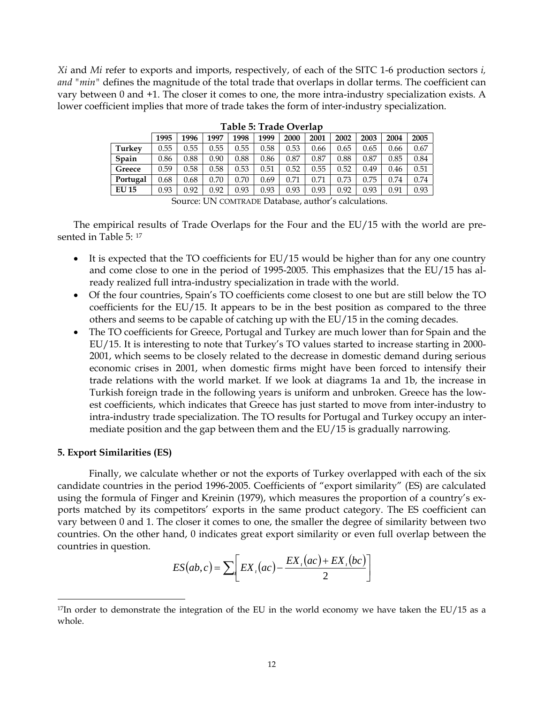*Xi* and *Mi* refer to exports and imports, respectively, of each of the SITC 1-6 production sectors *i, and "min"* defines the magnitude of the total trade that overlaps in dollar terms. The coefficient can vary between 0 and +1. The closer it comes to one, the more intra-industry specialization exists. A lower coefficient implies that more of trade takes the form of inter-industry specialization.

|               | 1995 | 1996 | 1997 | 1998 | 1999 | 2000 | 2001     | 2002 | 2003 | 2004 | 2005 |
|---------------|------|------|------|------|------|------|----------|------|------|------|------|
| <b>Turkey</b> | 0.55 | 0.55 | 0.55 | 0.55 | 0.58 | 0.53 | 0.66     | 0.65 | 0.65 | 0.66 | 0.67 |
| Spain         | 0.86 | 0.88 | 0.90 | 0.88 | 0.86 | 0.87 | 0.87     | 0.88 | 0.87 | 0.85 | 0.84 |
| Greece        | 0.59 | 0.58 | 0.58 | 0.53 | 0.51 | 0.52 | 0.55     | 0.52 | 0.49 | 0.46 | 0.51 |
| Portugal      | 0.68 | 0.68 | 0.70 | 0.70 | 0.69 | 0.71 | $0.71\,$ | 0.73 | 0.75 | 0.74 | 0.74 |
| <b>EU 15</b>  | 0.93 | 0.92 | 0.92 | 0.93 | 0.93 | 0.93 | 0.93     | 0.92 | 0.93 | 0.91 | 0.93 |

**Table 5: Trade Overlap** 

The empirical results of Trade Overlaps for the Four and the EU/15 with the world are presented in Table 5: [17](#page-12-0)

- It is expected that the TO coefficients for EU/15 would be higher than for any one country and come close to one in the period of 1995-2005. This emphasizes that the EU/15 has already realized full intra-industry specialization in trade with the world.
- Of the four countries, Spain's TO coefficients come closest to one but are still below the TO coefficients for the EU/15. It appears to be in the best position as compared to the three others and seems to be capable of catching up with the EU/15 in the coming decades.
- The TO coefficients for Greece, Portugal and Turkey are much lower than for Spain and the EU/15. It is interesting to note that Turkey's TO values started to increase starting in 2000- 2001, which seems to be closely related to the decrease in domestic demand during serious economic crises in 2001, when domestic firms might have been forced to intensify their trade relations with the world market. If we look at diagrams 1a and 1b, the increase in Turkish foreign trade in the following years is uniform and unbroken. Greece has the lowest coefficients, which indicates that Greece has just started to move from inter-industry to intra-industry trade specialization. The TO results for Portugal and Turkey occupy an intermediate position and the gap between them and the EU/15 is gradually narrowing.

#### **5. Export Similarities (ES)**

 $\overline{a}$ 

 Finally, we calculate whether or not the exports of Turkey overlapped with each of the six candidate countries in the period 1996-2005. Coefficients of "export similarity" (ES) are calculated using the formula of Finger and Kreinin (1979), which measures the proportion of a country's exports matched by its competitors' exports in the same product category. The ES coefficient can vary between 0 and 1. The closer it comes to one, the smaller the degree of similarity between two countries. On the other hand, 0 indicates great export similarity or even full overlap between the countries in question.

$$
ES(ab, c) = \sum_{i} \left[ EX_{i}(ac) - \frac{EX_{i}(ac) + EX_{i}(bc)}{2} \right]
$$

Source: UN COMTRADE Database, author's calculations.

<span id="page-12-0"></span> $17$ In order to demonstrate the integration of the EU in the world economy we have taken the EU/15 as a whole.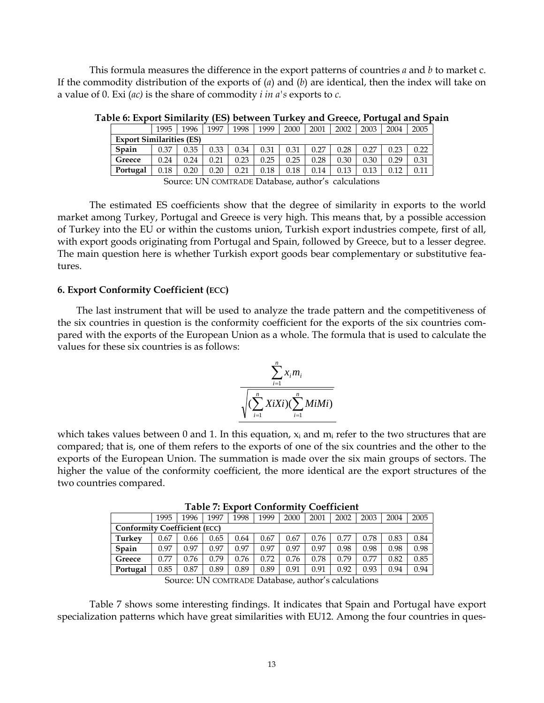This formula measures the difference in the export patterns of countries *a* and *b* to market c. If the commodity distribution of the exports of (*a*) and (*b*) are identical, then the index will take on a value of 0. Exi (*ac)* is the share of commodity *i in a's* exports to *c.*

|                                 | 1995 | 1996 | 1997                                              | 1998 | 1999 | 2000 | 2001 | 2002 | 2003 | 2004 | 2005 |
|---------------------------------|------|------|---------------------------------------------------|------|------|------|------|------|------|------|------|
| <b>Export Similarities (ES)</b> |      |      |                                                   |      |      |      |      |      |      |      |      |
| Spain                           | 0.37 | 0.35 | 0.33                                              | 0.34 | 0.31 | 0.31 | 0.27 | 0.28 | 0.27 | 0.23 | 0.22 |
| Greece                          | 0.24 | 0.24 | 0.21                                              | 0.23 | 0.25 | 0.25 | 0.28 | 0.30 | 0.30 | 0.29 | 0.31 |
| Portugal                        | 0.18 | 0.20 | 0.20                                              | 0.21 | 0.18 | 0.18 | 0.14 | 0.13 | 0.13 | 0.12 |      |
|                                 |      |      | Source: UN COMPADE Database author's calculations |      |      |      |      |      |      |      |      |

**Table 6: Export Similarity (ES) between Turkey and Greece, Portugal and Spain** 

Source: UN COMTRADE Database, author's calculations

The estimated ES coefficients show that the degree of similarity in exports to the world market among Turkey, Portugal and Greece is very high. This means that, by a possible accession of Turkey into the EU or within the customs union, Turkish export industries compete, first of all, with export goods originating from Portugal and Spain, followed by Greece, but to a lesser degree. The main question here is whether Turkish export goods bear complementary or substitutive features.

## **6. Export Conformity Coefficient (ECC)**

The last instrument that will be used to analyze the trade pattern and the competitiveness of the six countries in question is the conformity coefficient for the exports of the six countries compared with the exports of the European Union as a whole. The formula that is used to calculate the values for these six countries is as follows:

$$
\frac{\sum_{i=1}^{n} x_i m_i}{\sqrt{(\sum_{i=1}^{n} X i X i)(\sum_{i=1}^{n} M i M i)}}
$$

which takes values between 0 and 1. In this equation,  $x_i$  and  $m_i$  refer to the two structures that are compared; that is, one of them refers to the exports of one of the six countries and the other to the exports of the European Union. The summation is made over the six main groups of sectors. The higher the value of the conformity coefficient, the more identical are the export structures of the two countries compared.

**Table 7: Export Conformity Coefficient** 

|                                     | 1995 | 1996 | 1997 | 1998 | 1999 | 2000 | 2001 | 2002 | 2003 | 2004 | 2005 |
|-------------------------------------|------|------|------|------|------|------|------|------|------|------|------|
| <b>Conformity Coefficient (ECC)</b> |      |      |      |      |      |      |      |      |      |      |      |
| Turkev                              | 0.67 | 0.66 | 0.65 | 0.64 | 0.67 | 0.67 | 0.76 | 0.77 | 0.78 | 0.83 | 0.84 |
| Spain                               | 0.97 | 0.97 | 0.97 | 0.97 | 0.97 | 0.97 | 0.97 | 0.98 | 0.98 | 0.98 | 0.98 |
| Greece                              | 0.77 | 0.76 | 0.79 | 0.76 | 0.72 | 0.76 | 0.78 | 0.79 | 0.77 | 0.82 | 0.85 |
| Portugal                            | 0.85 | 0.87 | 0.89 | 0.89 | 0.89 | 0.91 | 0.91 | 0.92 | 0.93 | 0.94 | 0.94 |

Source: UN COMTRADE Database, author's calculations

Table 7 shows some interesting findings. It indicates that Spain and Portugal have export specialization patterns which have great similarities with EU12. Among the four countries in ques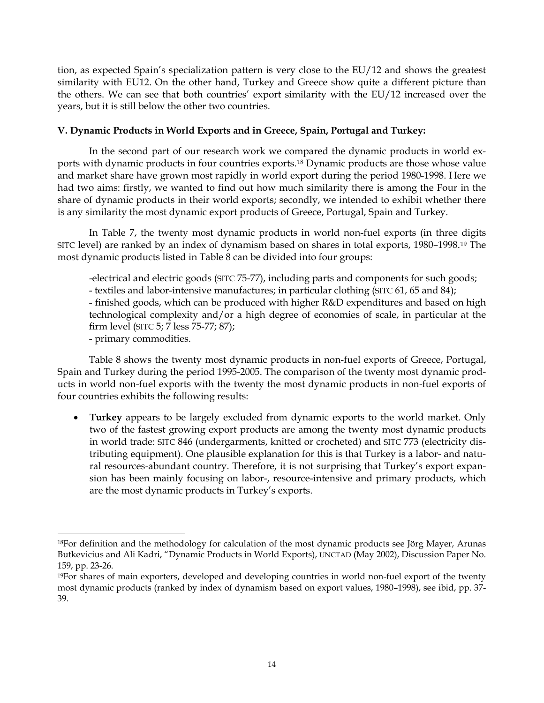tion, as expected Spain's specialization pattern is very close to the EU/12 and shows the greatest similarity with EU12. On the other hand, Turkey and Greece show quite a different picture than the others. We can see that both countries' export similarity with the EU/12 increased over the years, but it is still below the other two countries.

# **V. Dynamic Products in World Exports and in Greece, Spain, Portugal and Turkey:**

In the second part of our research work we compared the dynamic products in world exports with dynamic products in four countries exports.[18](#page-14-0) Dynamic products are those whose value and market share have grown most rapidly in world export during the period 1980-1998. Here we had two aims: firstly, we wanted to find out how much similarity there is among the Four in the share of dynamic products in their world exports; secondly, we intended to exhibit whether there is any similarity the most dynamic export products of Greece, Portugal, Spain and Turkey.

In Table 7, the twenty most dynamic products in world non-fuel exports (in three digits SITC level) are ranked by an index of dynamism based on shares in total exports, 1980–1998.[19](#page-14-1) The most dynamic products listed in Table 8 can be divided into four groups:

-electrical and electric goods (SITC 75-77), including parts and components for such goods; - textiles and labor-intensive manufactures; in particular clothing (SITC 61, 65 and 84); - finished goods, which can be produced with higher R&D expenditures and based on high technological complexity and/or a high degree of economies of scale, in particular at the firm level (SITC 5; 7 less 75-77; 87);

- primary commodities.

 $\overline{a}$ 

Table 8 shows the twenty most dynamic products in non-fuel exports of Greece, Portugal, Spain and Turkey during the period 1995-2005. The comparison of the twenty most dynamic products in world non-fuel exports with the twenty the most dynamic products in non-fuel exports of four countries exhibits the following results:

• **Turkey** appears to be largely excluded from dynamic exports to the world market. Only two of the fastest growing export products are among the twenty most dynamic products in world trade: SITC 846 (undergarments, knitted or crocheted) and SITC 773 (electricity distributing equipment). One plausible explanation for this is that Turkey is a labor- and natural resources-abundant country. Therefore, it is not surprising that Turkey's export expansion has been mainly focusing on labor-, resource-intensive and primary products, which are the most dynamic products in Turkey's exports.

<span id="page-14-0"></span><sup>&</sup>lt;sup>18</sup>For definition and the methodology for calculation of the most dynamic products see Jörg Mayer, Arunas Butkevicius and Ali Kadri, "Dynamic Products in World Exports), UNCTAD (May 2002), Discussion Paper No. 159, pp. 23-26.

<span id="page-14-1"></span><sup>19</sup>For shares of main exporters, developed and developing countries in world non-fuel export of the twenty most dynamic products (ranked by index of dynamism based on export values, 1980–1998), see ibid, pp. 37- 39.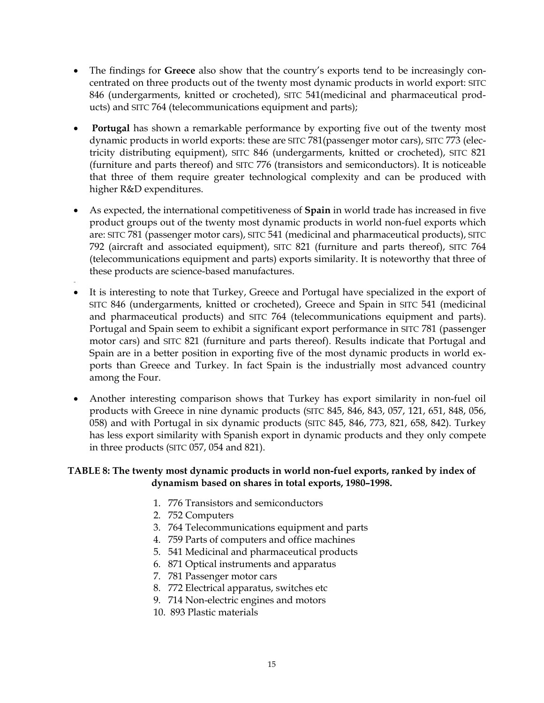- The findings for **Greece** also show that the country's exports tend to be increasingly concentrated on three products out of the twenty most dynamic products in world export: SITC 846 (undergarments, knitted or crocheted), SITC 541(medicinal and pharmaceutical products) and SITC 764 (telecommunications equipment and parts);
- • **Portugal** has shown a remarkable performance by exporting five out of the twenty most dynamic products in world exports: these are SITC 781(passenger motor cars), SITC 773 (electricity distributing equipment), SITC 846 (undergarments, knitted or crocheted), SITC 821 (furniture and parts thereof) and SITC 776 (transistors and semiconductors). It is noticeable that three of them require greater technological complexity and can be produced with higher R&D expenditures.
- As expected, the international competitiveness of **Spain** in world trade has increased in five product groups out of the twenty most dynamic products in world non-fuel exports which are: SITC 781 (passenger motor cars), SITC 541 (medicinal and pharmaceutical products), SITC 792 (aircraft and associated equipment), SITC 821 (furniture and parts thereof), SITC 764 (telecommunications equipment and parts) exports similarity. It is noteworthy that three of these products are science-based manufactures.
- • It is interesting to note that Turkey, Greece and Portugal have specialized in the export of SITC 846 (undergarments, knitted or crocheted), Greece and Spain in SITC 541 (medicinal and pharmaceutical products) and SITC 764 (telecommunications equipment and parts). Portugal and Spain seem to exhibit a significant export performance in SITC 781 (passenger motor cars) and SITC 821 (furniture and parts thereof). Results indicate that Portugal and Spain are in a better position in exporting five of the most dynamic products in world exports than Greece and Turkey. In fact Spain is the industrially most advanced country among the Four.
- Another interesting comparison shows that Turkey has export similarity in non-fuel oil products with Greece in nine dynamic products (SITC 845, 846, 843, 057, 121, 651, 848, 056, 058) and with Portugal in six dynamic products (SITC 845, 846, 773, 821, 658, 842). Turkey has less export similarity with Spanish export in dynamic products and they only compete in three products (SITC 057, 054 and 821).

# **TABLE 8: The twenty most dynamic products in world non-fuel exports, ranked by index of dynamism based on shares in total exports, 1980–1998.**

- 1. 776 Transistors and semiconductors
- 2. 752 Computers
- 3. 764 Telecommunications equipment and parts
- 4. 759 Parts of computers and office machines
- 5. 541 Medicinal and pharmaceutical products
- 6. 871 Optical instruments and apparatus
- 7. 781 Passenger motor cars
- 8. 772 Electrical apparatus, switches etc
- 9. 714 Non-electric engines and motors
- 10. 893 Plastic materials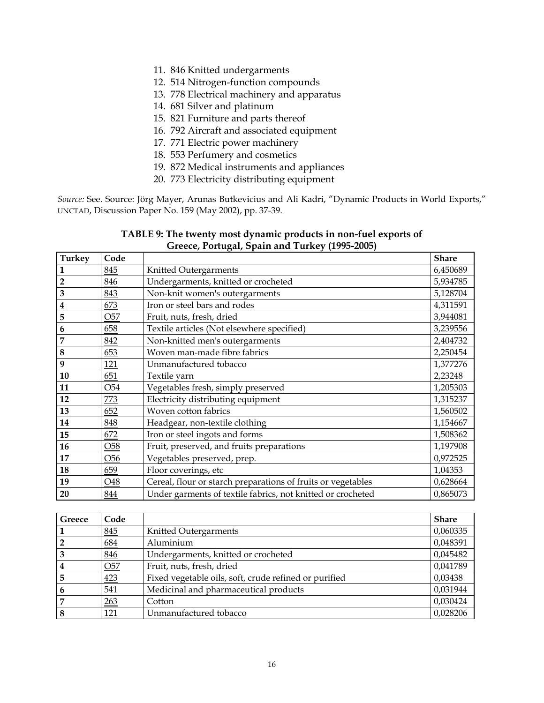- 11. 846 Knitted undergarments
- 12. 514 Nitrogen-function compounds
- 13. 778 Electrical machinery and apparatus
- 14. 681 Silver and platinum
- 15. 821 Furniture and parts thereof
- 16. 792 Aircraft and associated equipment
- 17. 771 Electric power machinery
- 18. 553 Perfumery and cosmetics
- 19. 872 Medical instruments and appliances
- 20. 773 Electricity distributing equipment

*Source:* See. Source: Jörg Mayer, Arunas Butkevicius and Ali Kadri, "Dynamic Products in World Exports," UNCTAD, Discussion Paper No. 159 (May 2002), pp. 37-39.

| <b>Turkey</b>           | Code            |                                                              | <b>Share</b> |
|-------------------------|-----------------|--------------------------------------------------------------|--------------|
|                         | 845             | Knitted Outergarments                                        | 6,450689     |
| $\overline{2}$          | 846             | Undergarments, knitted or crocheted                          | 5,934785     |
| 3                       | 843             | Non-knit women's outergarments                               | 5,128704     |
| $\overline{\mathbf{4}}$ | 673             | Iron or steel bars and rodes                                 | 4,311591     |
| 5                       | O <sub>57</sub> | Fruit, nuts, fresh, dried                                    | 3,944081     |
| 6                       | 658             | Textile articles (Not elsewhere specified)                   | 3,239556     |
| 7                       | 842             | Non-knitted men's outergarments                              | 2,404732     |
| 8                       | 653             | Woven man-made fibre fabrics                                 | 2,250454     |
| 9                       | 121             | Unmanufactured tobacco                                       | 1,377276     |
| 10                      | 651             | Textile yarn                                                 | 2,23248      |
| 11                      | O <sub>54</sub> | Vegetables fresh, simply preserved                           | 1,205303     |
| 12                      | 773             | Electricity distributing equipment                           | 1,315237     |
| 13                      | 652             | Woven cotton fabrics                                         | 1,560502     |
| 14                      | 848             | Headgear, non-textile clothing                               | 1,154667     |
| 15                      | 672             | Iron or steel ingots and forms                               | 1,508362     |
| 16                      | O <sub>58</sub> | Fruit, preserved, and fruits preparations                    | 1,197908     |
| 17                      | O <sub>56</sub> | Vegetables preserved, prep.                                  | 0,972525     |
| 18                      | 659             | Floor coverings, etc                                         | 1,04353      |
| 19                      | O48             | Cereal, flour or starch preparations of fruits or vegetables | 0,628664     |
| 20                      | 844             | Under garments of textile fabrics, not knitted or crocheted  | 0,865073     |

## **TABLE 9: The twenty most dynamic products in non-fuel exports of Greece, Portugal, Spain and Turkey (1995-2005)**

| Greece | Code            |                                                       | <b>Share</b> |
|--------|-----------------|-------------------------------------------------------|--------------|
|        | 845             | Knitted Outergarments                                 | 0,060335     |
|        | 684             | Aluminium                                             | 0,048391     |
|        | 846             | Undergarments, knitted or crocheted                   | 0,045482     |
|        | O <sub>57</sub> | Fruit, nuts, fresh, dried                             | 0,041789     |
|        | 423             | Fixed vegetable oils, soft, crude refined or purified | 0,03438      |
| 6      | 541             | Medicinal and pharmaceutical products                 | 0,031944     |
|        | 263             | Cotton                                                | 0,030424     |
|        | 121             | Unmanufactured tobacco                                | 0,028206     |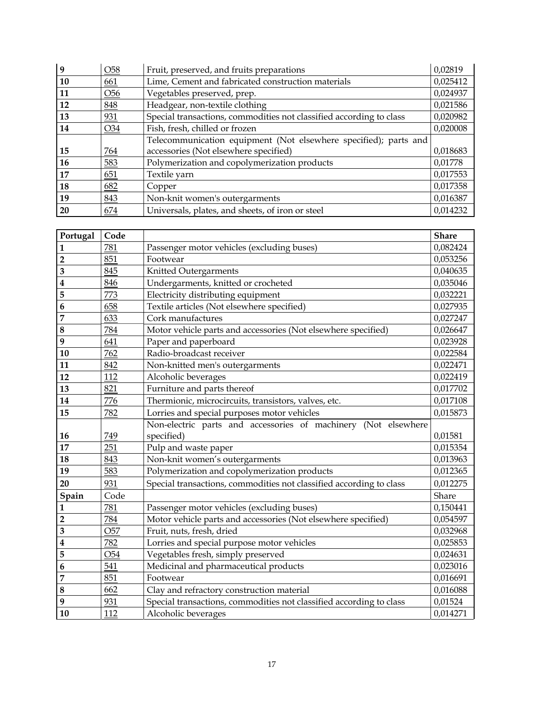| 9  | O <sub>58</sub> | Fruit, preserved, and fruits preparations                           | 0,02819  |
|----|-----------------|---------------------------------------------------------------------|----------|
| 10 | 661             | Lime, Cement and fabricated construction materials                  | 0,025412 |
| 11 | O <sub>56</sub> | Vegetables preserved, prep.                                         | 0,024937 |
| 12 | 848             | Headgear, non-textile clothing                                      | 0,021586 |
| 13 | 931             | Special transactions, commodities not classified according to class | 0,020982 |
| 14 | O34             | Fish, fresh, chilled or frozen                                      | 0,020008 |
|    |                 | Telecommunication equipment (Not elsewhere specified); parts and    |          |
| 15 | 764             | accessories (Not elsewhere specified)                               | 0,018683 |
| 16 | 583             | Polymerization and copolymerization products                        | 0,01778  |
| 17 | 651             | Textile yarn                                                        | 0,017553 |
| 18 | 682             | Copper                                                              | 0,017358 |
| 19 | 843             | Non-knit women's outergarments                                      | 0,016387 |
| 20 | 674             | Universals, plates, and sheets, of iron or steel                    | 0,014232 |

| Portugal                | Code            |                                                                     | <b>Share</b> |
|-------------------------|-----------------|---------------------------------------------------------------------|--------------|
| 1                       | 781             | Passenger motor vehicles (excluding buses)                          | 0,082424     |
| $\overline{2}$          | 851             | Footwear                                                            | 0,053256     |
| $\overline{\mathbf{3}}$ | 845             | Knitted Outergarments                                               | 0,040635     |
| 4                       | 846             | Undergarments, knitted or crocheted                                 | 0,035046     |
| 5                       | 773             | Electricity distributing equipment                                  | 0,032221     |
| 6                       | 658             | Textile articles (Not elsewhere specified)                          | 0,027935     |
| 7                       | 633             | Cork manufactures                                                   | 0,027247     |
| 8                       | 784             | Motor vehicle parts and accessories (Not elsewhere specified)       | 0,026647     |
| 9                       | 641             | Paper and paperboard                                                | 0,023928     |
| 10                      | 762             | Radio-broadcast receiver                                            | 0,022584     |
| 11                      | 842             | Non-knitted men's outergarments                                     | 0,022471     |
| 12                      | 112             | Alcoholic beverages                                                 | 0,022419     |
| $\overline{13}$         | 821             | Furniture and parts thereof                                         | 0,017702     |
| 14                      | 776             | Thermionic, microcircuits, transistors, valves, etc.                | 0,017108     |
| 15                      | 782             | Lorries and special purposes motor vehicles                         | 0,015873     |
|                         |                 | Non-electric parts and accessories of machinery (Not elsewhere      |              |
| 16                      | 749             | specified)                                                          | 0,01581      |
| 17                      | 251             | Pulp and waste paper                                                | 0,015354     |
| 18                      | 843             | Non-knit women's outergarments                                      | 0,013963     |
| 19                      | 583             | Polymerization and copolymerization products                        | 0,012365     |
| 20                      | 931             | Special transactions, commodities not classified according to class | 0,012275     |
| Spain                   | Code            |                                                                     | Share        |
| 1                       | 781             | Passenger motor vehicles (excluding buses)                          | 0,150441     |
| $\overline{2}$          | 784             | Motor vehicle parts and accessories (Not elsewhere specified)       | 0,054597     |
| 3                       | O <sub>57</sub> | Fruit, nuts, fresh, dried                                           | 0,032968     |
| 4                       | 782             | Lorries and special purpose motor vehicles                          | 0,025853     |
| 5                       | O <sub>54</sub> | Vegetables fresh, simply preserved                                  | 0,024631     |
| 6                       | 541             | Medicinal and pharmaceutical products                               | 0,023016     |
| 7                       | 851             | Footwear                                                            | 0,016691     |
| 8                       | 662             | Clay and refractory construction material                           | 0,016088     |
| 9                       | 931             | Special transactions, commodities not classified according to class | 0,01524      |
| 10                      | 112             | Alcoholic beverages                                                 | 0,014271     |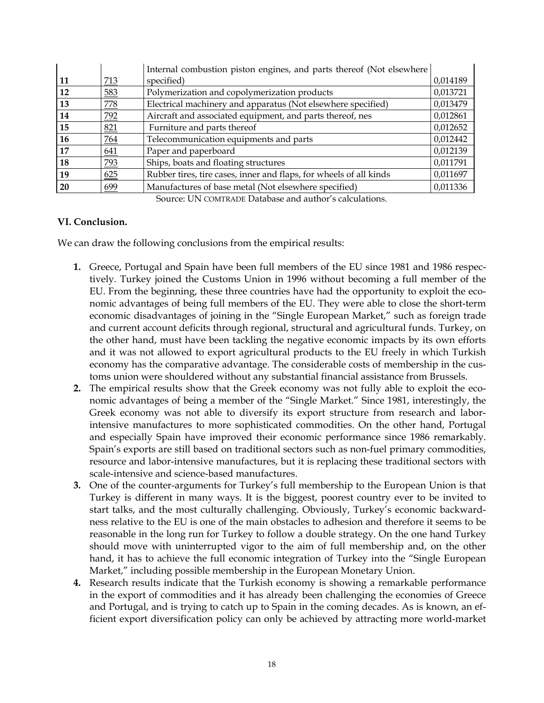|           |            | Internal combustion piston engines, and parts thereof (Not elsewhere |          |
|-----------|------------|----------------------------------------------------------------------|----------|
| 11        | 713        | specified)                                                           | 0,014189 |
| 12        | 583        | Polymerization and copolymerization products                         | 0,013721 |
| 13        | <b>778</b> | Electrical machinery and apparatus (Not elsewhere specified)         | 0,013479 |
| 14        | 792        | Aircraft and associated equipment, and parts thereof, nes            | 0,012861 |
| 15        | 821        | Furniture and parts thereof                                          | 0,012652 |
| 16        | 764        | Telecommunication equipments and parts                               | 0,012442 |
| 17        | 641        | Paper and paperboard                                                 | 0,012139 |
| 18        | 793        | Ships, boats and floating structures                                 | 0,011791 |
| 19        | 625        | Rubber tires, tire cases, inner and flaps, for wheels of all kinds   | 0,011697 |
| <b>20</b> | 699        | Manufactures of base metal (Not elsewhere specified)                 | 0,011336 |

Source: UN COMTRADE Database and author's calculations.

# **VI. Conclusion.**

We can draw the following conclusions from the empirical results:

- **1.** Greece, Portugal and Spain have been full members of the EU since 1981 and 1986 respectively. Turkey joined the Customs Union in 1996 without becoming a full member of the EU. From the beginning, these three countries have had the opportunity to exploit the economic advantages of being full members of the EU. They were able to close the short-term economic disadvantages of joining in the "Single European Market," such as foreign trade and current account deficits through regional, structural and agricultural funds. Turkey, on the other hand, must have been tackling the negative economic impacts by its own efforts and it was not allowed to export agricultural products to the EU freely in which Turkish economy has the comparative advantage. The considerable costs of membership in the customs union were shouldered without any substantial financial assistance from Brussels.
- **2.** The empirical results show that the Greek economy was not fully able to exploit the economic advantages of being a member of the "Single Market." Since 1981, interestingly, the Greek economy was not able to diversify its export structure from research and laborintensive manufactures to more sophisticated commodities. On the other hand, Portugal and especially Spain have improved their economic performance since 1986 remarkably. Spain's exports are still based on traditional sectors such as non-fuel primary commodities, resource and labor-intensive manufactures, but it is replacing these traditional sectors with scale-intensive and science-based manufactures.
- **3.** One of the counter-arguments for Turkey's full membership to the European Union is that Turkey is different in many ways. It is the biggest, poorest country ever to be invited to start talks, and the most culturally challenging. Obviously, Turkey's economic backwardness relative to the EU is one of the main obstacles to adhesion and therefore it seems to be reasonable in the long run for Turkey to follow a double strategy. On the one hand Turkey should move with uninterrupted vigor to the aim of full membership and, on the other hand, it has to achieve the full economic integration of Turkey into the "Single European Market," including possible membership in the European Monetary Union.
- **4.** Research results indicate that the Turkish economy is showing a remarkable performance in the export of commodities and it has already been challenging the economies of Greece and Portugal, and is trying to catch up to Spain in the coming decades. As is known, an efficient export diversification policy can only be achieved by attracting more world-market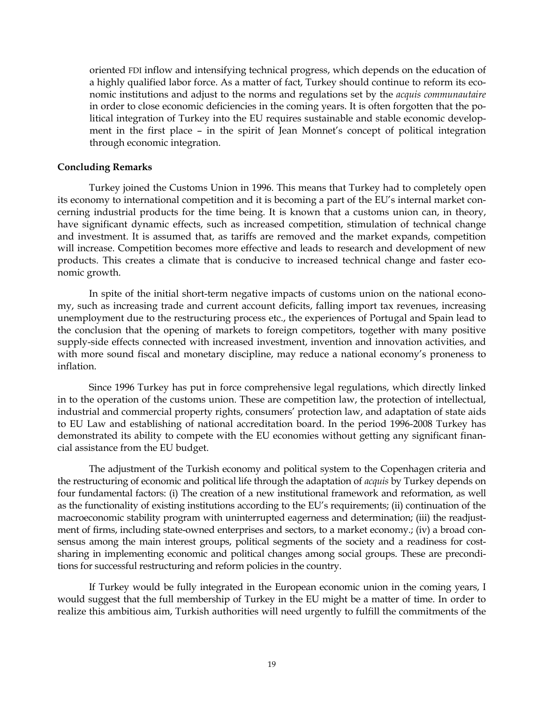oriented FDI inflow and intensifying technical progress, which depends on the education of a highly qualified labor force. As a matter of fact, Turkey should continue to reform its economic institutions and adjust to the norms and regulations set by the *acquis communautaire* in order to close economic deficiencies in the coming years. It is often forgotten that the political integration of Turkey into the EU requires sustainable and stable economic development in the first place – in the spirit of Jean Monnet's concept of political integration through economic integration.

### **Concluding Remarks**

Turkey joined the Customs Union in 1996. This means that Turkey had to completely open its economy to international competition and it is becoming a part of the EU's internal market concerning industrial products for the time being. It is known that a customs union can, in theory, have significant dynamic effects, such as increased competition, stimulation of technical change and investment. It is assumed that, as tariffs are removed and the market expands, competition will increase. Competition becomes more effective and leads to research and development of new products. This creates a climate that is conducive to increased technical change and faster economic growth.

In spite of the initial short-term negative impacts of customs union on the national economy, such as increasing trade and current account deficits, falling import tax revenues, increasing unemployment due to the restructuring process etc., the experiences of Portugal and Spain lead to the conclusion that the opening of markets to foreign competitors, together with many positive supply-side effects connected with increased investment, invention and innovation activities, and with more sound fiscal and monetary discipline, may reduce a national economy's proneness to inflation.

Since 1996 Turkey has put in force comprehensive legal regulations, which directly linked in to the operation of the customs union. These are competition law, the protection of intellectual, industrial and commercial property rights, consumers' protection law, and adaptation of state aids to EU Law and establishing of national accreditation board. In the period 1996-2008 Turkey [has](http://dict.leo.org/ende?lp=ende&p=thMx..&search=to) [demonstrated](http://dict.leo.org/ende?lp=ende&p=thMx..&search=demonstrate) its [ability](http://dict.leo.org/ende?lp=ende&p=thMx..&search=ability) to compete with the EU economies without getting any significant financial assistance from the EU budget.

The adjustment of the Turkish economy and political system to the Copenhagen criteria and the restructuring of economic and political life through the adaptation of *acquis* by Turkey depends on four fundamental factors: (i) The creation of a new institutional framework and reformation, as well as the functionality of existing institutions according to the EU's requirements; (ii) continuation of the macroeconomic stability program with uninterrupted eagerness and determination; (iii) the readjustment of firms, including state-owned enterprises and sectors, to a market economy.; (iv) a broad consensus among the main interest groups, political segments of the society and a readiness for costsharing in implementing economic and political changes among social groups. These are preconditions for successful restructuring and reform policies in the country.

If Turkey would be fully integrated in the European economic union in the coming years, I would suggest that the full membership of Turkey in the EU might be a matter of time. In order to realize this ambitious aim, Turkish authorities will need urgently to fulfill the commitments of the